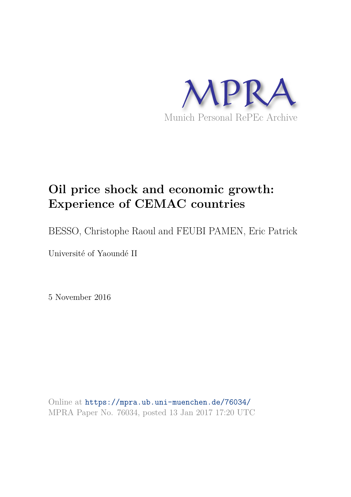

# **Oil price shock and economic growth: Experience of CEMAC countries**

BESSO, Christophe Raoul and FEUBI PAMEN, Eric Patrick

Université of Yaoundé II

5 November 2016

Online at https://mpra.ub.uni-muenchen.de/76034/ MPRA Paper No. 76034, posted 13 Jan 2017 17:20 UTC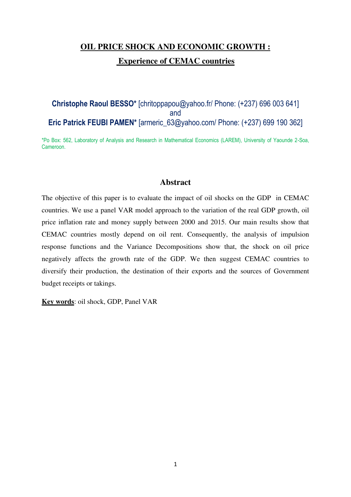## **OIL PRICE SHOCK AND ECONOMIC GROWTH : Experience of CEMAC countries**

## **Christophe Raoul BESSO\*** [chritoppapou@yahoo.fr/ Phone: (+237) 696 003 641] and **Eric Patrick FEUBI PAMEN\*** [armeric\_63@yahoo.com/ Phone: (+237) 699 190 362]

\*Po Box: 562, Laboratory of Analysis and Research in Mathematical Economics (LAREM), University of Yaounde 2-Soa, Cameroon.

### **Abstract**

The objective of this paper is to evaluate the impact of oil shocks on the GDP in CEMAC countries. We use a panel VAR model approach to the variation of the real GDP growth, oil price inflation rate and money supply between 2000 and 2015. Our main results show that CEMAC countries mostly depend on oil rent. Consequently, the analysis of impulsion response functions and the Variance Decompositions show that, the shock on oil price negatively affects the growth rate of the GDP. We then suggest CEMAC countries to diversify their production, the destination of their exports and the sources of Government budget receipts or takings.

**Key words**: oil shock, GDP, Panel VAR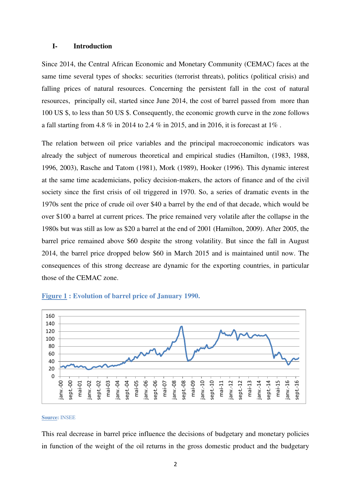#### **I- Introduction**

Since 2014, the Central African Economic and Monetary Community (CEMAC) faces at the same time several types of shocks: securities (terrorist threats), politics (political crisis) and falling prices of natural resources. Concerning the persistent fall in the cost of natural resources, principally oil, started since June 2014, the cost of barrel passed from more than 100 US \$, to less than 50 US \$. Consequently, the economic growth curve in the zone follows a fall starting from 4.8 % in 2014 to 2.4 % in 2015, and in 2016, it is forecast at 1% .

The relation between oil price variables and the principal macroeconomic indicators was already the subject of numerous theoretical and empirical studies (Hamilton, (1983, 1988, 1996, 2003), Rasche and Tatom (1981), Mork (1989), Hooker (1996). This dynamic interest at the same time academicians, policy decision-makers, the actors of finance and of the civil society since the first crisis of oil triggered in 1970. So, a series of dramatic events in the 1970s sent the price of crude oil over \$40 a barrel by the end of that decade, which would be over \$100 a barrel at current prices. The price remained very volatile after the collapse in the 1980s but was still as low as \$20 a barrel at the end of 2001 (Hamilton, 2009). After 2005, the barrel price remained above \$60 despite the strong volatility. But since the fall in August 2014, the barrel price dropped below \$60 in March 2015 and is maintained until now. The consequences of this strong decrease are dynamic for the exporting countries, in particular those of the CEMAC zone.



#### **Figure 1 : Evolution of barrel price of January 1990.**

#### **Source:** INSEE

This real decrease in barrel price influence the decisions of budgetary and monetary policies in function of the weight of the oil returns in the gross domestic product and the budgetary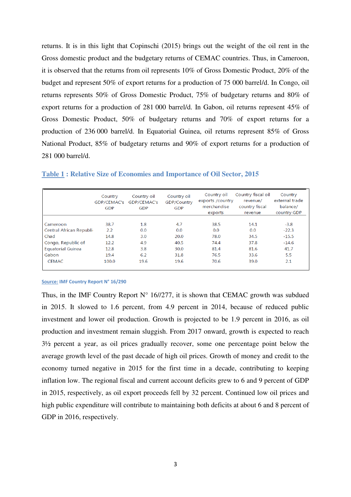returns. It is in this light that Copinschi (2015) brings out the weight of the oil rent in the Gross domestic product and the budgetary returns of CEMAC countries. Thus, in Cameroon, it is observed that the returns from oil represents 10% of Gross Domestic Product, 20% of the budget and represent 50% of export returns for a production of 75 000 barrel/d. In Congo, oil returns represents 50% of Gross Domestic Product, 75% of budgetary returns and 80% of export returns for a production of 281 000 barrel/d. In Gabon, oil returns represent 45% of Gross Domestic Product, 50% of budgetary returns and 70% of export returns for a production of 236 000 barrel/d. In Equatorial Guinea, oil returns represent 85% of Gross National Product, 85% of budgetary returns and 90% of export returns for a production of 281 000 barrel/d.

|                          | Country<br>GDP/CEMAC's<br><b>GDP</b> | Country oil<br>GDP/CEMAC's<br><b>GDP</b> | Country oil<br>GDP/Country<br>GDP | Country oil<br>exports /country<br>merchandise<br>exports | Country fiscal oil<br>revenue/<br>country fiscal<br>revenue | Country<br>external trade<br>balance/<br>country GDP |
|--------------------------|--------------------------------------|------------------------------------------|-----------------------------------|-----------------------------------------------------------|-------------------------------------------------------------|------------------------------------------------------|
|                          |                                      |                                          |                                   |                                                           |                                                             |                                                      |
| Cameroon                 | 38.7                                 | 1.8                                      | 4.7                               | 38.5                                                      | 14.1                                                        | $-3.8$                                               |
| Central African Republi- | 2.2                                  | 0.0                                      | 0.0                               | 0.0                                                       | 0.0                                                         | $-22.3$                                              |
| Chad                     | 14.8                                 | 3.0                                      | 20.0                              | 78.0                                                      | 34.5                                                        | $-15.5$                                              |
| Congo, Republic of       | 12.2                                 | 4.9                                      | 40.5                              | 74.4                                                      | 37.8                                                        | $-14.6$                                              |
| <b>Equatorial Guinea</b> | 12.8                                 | 3.8                                      | 30.0                              | 81.4                                                      | 81.6                                                        | 41.7                                                 |
| Gabon                    | 19.4                                 | 6.2                                      | 31.8                              | 76.5                                                      | 33.6                                                        | 5.5                                                  |
| <b>CEMAC</b>             | 100.0                                | 19.6                                     | 19.6                              | 70.6                                                      | 39.0                                                        | 2.1                                                  |

#### **Table 1 : Relative Size of Economies and Importance of Oil Sector, 2015**

#### **Source: IMF Country Report N° 16/290**

Thus, in the IMF Country Report  $N^{\circ}$  16//277, it is shown that CEMAC growth was subdued in 2015. It slowed to 1.6 percent, from 4.9 percent in 2014, because of reduced public investment and lower oil production. Growth is projected to be 1.9 percent in 2016, as oil production and investment remain sluggish. From 2017 onward, growth is expected to reach 3½ percent a year, as oil prices gradually recover, some one percentage point below the average growth level of the past decade of high oil prices. Growth of money and credit to the economy turned negative in 2015 for the first time in a decade, contributing to keeping inflation low. The regional fiscal and current account deficits grew to 6 and 9 percent of GDP in 2015, respectively, as oil export proceeds fell by 32 percent. Continued low oil prices and high public expenditure will contribute to maintaining both deficits at about 6 and 8 percent of GDP in 2016, respectively.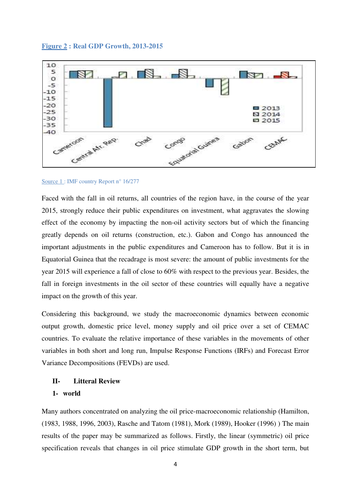#### **Figure 2 : Real GDP Growth, 2013-2015**



#### Source 1 : IMF country Report n° 16/277

Faced with the fall in oil returns, all countries of the region have, in the course of the year 2015, strongly reduce their public expenditures on investment, what aggravates the slowing effect of the economy by impacting the non-oil activity sectors but of which the financing greatly depends on oil returns (construction, etc.). Gabon and Congo has announced the important adjustments in the public expenditures and Cameroon has to follow. But it is in Equatorial Guinea that the recadrage is most severe: the amount of public investments for the year 2015 will experience a fall of close to 60% with respect to the previous year. Besides, the fall in foreign investments in the oil sector of these countries will equally have a negative impact on the growth of this year.

Considering this background, we study the macroeconomic dynamics between economic output growth, domestic price level, money supply and oil price over a set of CEMAC countries. To evaluate the relative importance of these variables in the movements of other variables in both short and long run, Impulse Response Functions (IRFs) and Forecast Error Variance Decompositions (FEVDs) are used.

## **II- Litteral Review 1- world**

Many authors concentrated on analyzing the oil price-macroeconomic relationship (Hamilton, (1983, 1988, 1996, 2003), Rasche and Tatom (1981), Mork (1989), Hooker (1996) ) The main results of the paper may be summarized as follows. Firstly, the linear (symmetric) oil price specification reveals that changes in oil price stimulate GDP growth in the short term, but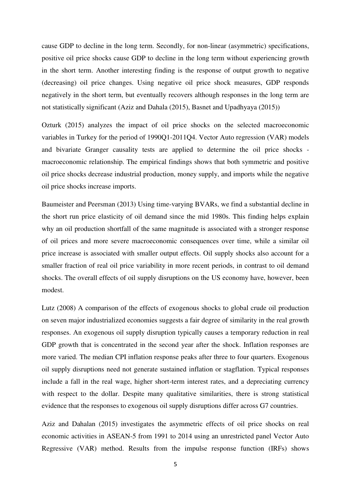cause GDP to decline in the long term. Secondly, for non-linear (asymmetric) specifications, positive oil price shocks cause GDP to decline in the long term without experiencing growth in the short term. Another interesting finding is the response of output growth to negative (decreasing) oil price changes. Using negative oil price shock measures, GDP responds negatively in the short term, but eventually recovers although responses in the long term are not statistically significant (Aziz and Dahala (2015), Basnet and Upadhyaya (2015))

Ozturk (2015) analyzes the impact of oil price shocks on the selected macroeconomic variables in Turkey for the period of 1990Q1-2011Q4. Vector Auto regression (VAR) models and bivariate Granger causality tests are applied to determine the oil price shocks macroeconomic relationship. The empirical findings shows that both symmetric and positive oil price shocks decrease industrial production, money supply, and imports while the negative oil price shocks increase imports.

Baumeister and Peersman (2013) Using time-varying BVARs, we find a substantial decline in the short run price elasticity of oil demand since the mid 1980s. This finding helps explain why an oil production shortfall of the same magnitude is associated with a stronger response of oil prices and more severe macroeconomic consequences over time, while a similar oil price increase is associated with smaller output effects. Oil supply shocks also account for a smaller fraction of real oil price variability in more recent periods, in contrast to oil demand shocks. The overall effects of oil supply disruptions on the US economy have, however, been modest.

Lutz (2008) A comparison of the effects of exogenous shocks to global crude oil production on seven major industrialized economies suggests a fair degree of similarity in the real growth responses. An exogenous oil supply disruption typically causes a temporary reduction in real GDP growth that is concentrated in the second year after the shock. Inflation responses are more varied. The median CPI inflation response peaks after three to four quarters. Exogenous oil supply disruptions need not generate sustained inflation or stagflation. Typical responses include a fall in the real wage, higher short-term interest rates, and a depreciating currency with respect to the dollar. Despite many qualitative similarities, there is strong statistical evidence that the responses to exogenous oil supply disruptions differ across G7 countries.

Aziz and Dahalan (2015) investigates the asymmetric effects of oil price shocks on real economic activities in ASEAN-5 from 1991 to 2014 using an unrestricted panel Vector Auto Regressive (VAR) method. Results from the impulse response function (IRFs) shows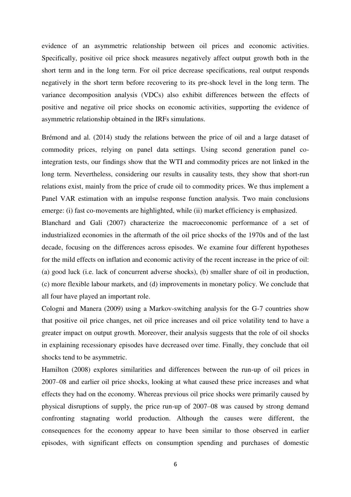evidence of an asymmetric relationship between oil prices and economic activities. Specifically, positive oil price shock measures negatively affect output growth both in the short term and in the long term. For oil price decrease specifications, real output responds negatively in the short term before recovering to its pre-shock level in the long term. The variance decomposition analysis (VDCs) also exhibit differences between the effects of positive and negative oil price shocks on economic activities, supporting the evidence of asymmetric relationship obtained in the IRFs simulations.

Brémond and al. (2014) study the relations between the price of oil and a large dataset of commodity prices, relying on panel data settings. Using second generation panel cointegration tests, our findings show that the WTI and commodity prices are not linked in the long term. Nevertheless, considering our results in causality tests, they show that short-run relations exist, mainly from the price of crude oil to commodity prices. We thus implement a Panel VAR estimation with an impulse response function analysis. Two main conclusions emerge: (i) fast co-movements are highlighted, while (ii) market efficiency is emphasized.

Blanchard and Gali (2007) characterize the macroeconomic performance of a set of industrialized economies in the aftermath of the oil price shocks of the 1970s and of the last decade, focusing on the differences across episodes. We examine four different hypotheses for the mild effects on inflation and economic activity of the recent increase in the price of oil: (a) good luck (i.e. lack of concurrent adverse shocks), (b) smaller share of oil in production, (c) more flexible labour markets, and (d) improvements in monetary policy. We conclude that all four have played an important role.

Cologni and Manera (2009) using a Markov-switching analysis for the G-7 countries show that positive oil price changes, net oil price increases and oil price volatility tend to have a greater impact on output growth. Moreover, their analysis suggests that the role of oil shocks in explaining recessionary episodes have decreased over time. Finally, they conclude that oil shocks tend to be asymmetric.

Hamilton (2008) explores similarities and differences between the run-up of oil prices in 2007–08 and earlier oil price shocks, looking at what caused these price increases and what effects they had on the economy. Whereas previous oil price shocks were primarily caused by physical disruptions of supply, the price run-up of 2007–08 was caused by strong demand confronting stagnating world production. Although the causes were different, the consequences for the economy appear to have been similar to those observed in earlier episodes, with significant effects on consumption spending and purchases of domestic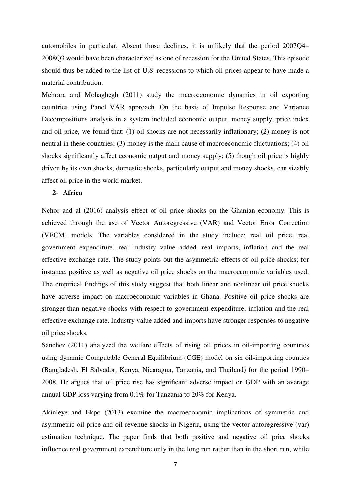automobiles in particular. Absent those declines, it is unlikely that the period 2007Q4– 2008Q3 would have been characterized as one of recession for the United States. This episode should thus be added to the list of U.S. recessions to which oil prices appear to have made a material contribution.

Mehrara and Mohaghegh (2011) study the macroeconomic dynamics in oil exporting countries using Panel VAR approach. On the basis of Impulse Response and Variance Decompositions analysis in a system included economic output, money supply, price index and oil price, we found that: (1) oil shocks are not necessarily inflationary; (2) money is not neutral in these countries; (3) money is the main cause of macroeconomic fluctuations; (4) oil shocks significantly affect economic output and money supply; (5) though oil price is highly driven by its own shocks, domestic shocks, particularly output and money shocks, can sizably affect oil price in the world market.

#### **2- Africa**

Nchor and al (2016) analysis effect of oil price shocks on the Ghanian economy. This is achieved through the use of Vector Autoregressive (VAR) and Vector Error Correction (VECM) models. The variables considered in the study include: real oil price, real government expenditure, real industry value added, real imports, inflation and the real effective exchange rate. The study points out the asymmetric effects of oil price shocks; for instance, positive as well as negative oil price shocks on the macroeconomic variables used. The empirical findings of this study suggest that both linear and nonlinear oil price shocks have adverse impact on macroeconomic variables in Ghana. Positive oil price shocks are stronger than negative shocks with respect to government expenditure, inflation and the real effective exchange rate. Industry value added and imports have stronger responses to negative oil price shocks.

Sanchez (2011) analyzed the welfare effects of rising oil prices in oil-importing countries using dynamic Computable General Equilibrium (CGE) model on six oil-importing counties (Bangladesh, El Salvador, Kenya, Nicaragua, Tanzania, and Thailand) for the period 1990– 2008. He argues that oil price rise has significant adverse impact on GDP with an average annual GDP loss varying from 0.1% for Tanzania to 20% for Kenya.

Akinleye and Ekpo (2013) examine the macroeconomic implications of symmetric and asymmetric oil price and oil revenue shocks in Nigeria, using the vector autoregressive (var) estimation technique. The paper finds that both positive and negative oil price shocks influence real government expenditure only in the long run rather than in the short run, while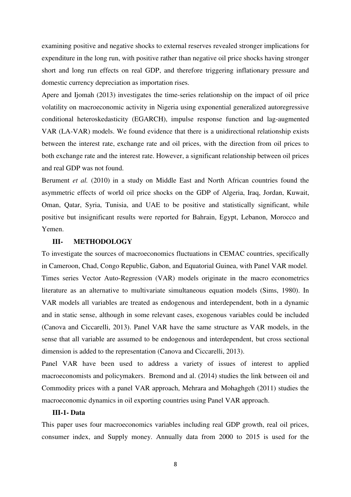examining positive and negative shocks to external reserves revealed stronger implications for expenditure in the long run, with positive rather than negative oil price shocks having stronger short and long run effects on real GDP, and therefore triggering inflationary pressure and domestic currency depreciation as importation rises.

Apere and Ijomah (2013) investigates the time-series relationship on the impact of oil price volatility on macroeconomic activity in Nigeria using exponential generalized autoregressive conditional heteroskedasticity (EGARCH), impulse response function and lag-augmented VAR (LA-VAR) models. We found evidence that there is a unidirectional relationship exists between the interest rate, exchange rate and oil prices, with the direction from oil prices to both exchange rate and the interest rate. However, a significant relationship between oil prices and real GDP was not found.

Berument *et al.* (2010) in a study on Middle East and North African countries found the asymmetric effects of world oil price shocks on the GDP of Algeria, Iraq, Jordan, Kuwait, Oman, Qatar, Syria, Tunisia, and UAE to be positive and statistically significant, while positive but insignificant results were reported for Bahrain, Egypt, Lebanon, Morocco and Yemen.

#### **III- METHODOLOGY**

To investigate the sources of macroeconomics fluctuations in CEMAC countries, specifically in Cameroon, Chad, Congo Republic, Gabon, and Equatorial Guinea, with Panel VAR model. Times series Vector Auto-Regression (VAR) models originate in the macro econometrics literature as an alternative to multivariate simultaneous equation models (Sims, 1980). In VAR models all variables are treated as endogenous and interdependent, both in a dynamic and in static sense, although in some relevant cases, exogenous variables could be included (Canova and Ciccarelli, 2013). Panel VAR have the same structure as VAR models, in the sense that all variable are assumed to be endogenous and interdependent, but cross sectional dimension is added to the representation (Canova and Ciccarelli, 2013).

Panel VAR have been used to address a variety of issues of interest to applied macroeconomists and policymakers. Bremond and al. (2014) studies the link between oil and Commodity prices with a panel VAR approach, Mehrara and Mohaghgeh (2011) studies the macroeconomic dynamics in oil exporting countries using Panel VAR approach.

#### **III-1- Data**

This paper uses four macroeconomics variables including real GDP growth, real oil prices, consumer index, and Supply money. Annually data from 2000 to 2015 is used for the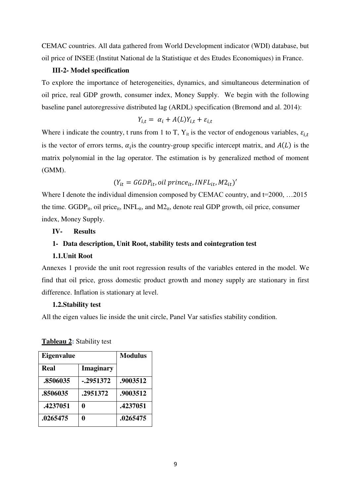CEMAC countries. All data gathered from World Development indicator (WDI) database, but oil price of INSEE (Institut National de la Statistique et des Etudes Economiques) in France.

#### **III-2- Model specification**

To explore the importance of heterogeneities, dynamics, and simultaneous determination of oil price, real GDP growth, consumer index, Money Supply. We begin with the following baseline panel autoregressive distributed lag (ARDL) specification (Bremond and al. 2014):

$$
Y_{i,t} = \alpha_i + A(L)Y_{i,t} + \varepsilon_{i,t}
$$

Where i indicate the country, t runs from 1 to T,  $Y_{it}$  is the vector of endogenous variables,  $\varepsilon_{i,t}$ is the vector of errors terms,  $\alpha_i$  is the country-group specific intercept matrix, and  $A(L)$  is the matrix polynomial in the lag operator. The estimation is by generalized method of moment (GMM).

$$
(Y_{it} = GGDP_{it}, oil\, prince_{it}, INFL_{it}, M2_{it})'
$$

Where I denote the individual dimension composed by CEMAC country, and t=2000, ...2015 the time.  $GGDP_{it}$ , oil price<sub>it</sub>, INFL<sub>it</sub>, and  $MQ_{it}$ , denote real GDP growth, oil price, consumer index, Money Supply.

#### **IV- Results**

#### **1- Data description, Unit Root, stability tests and cointegration test**

#### **1.1.Unit Root**

Annexes 1 provide the unit root regression results of the variables entered in the model. We find that oil price, gross domestic product growth and money supply are stationary in first difference. Inflation is stationary at level.

#### **1.2.Stability test**

All the eigen values lie inside the unit circle, Panel Var satisfies stability condition.

Eigenvalue Modulus **Real Imaginary .8506035 -.2951372 .9003512 .8506035 .2951372 .9003512 .4237051 0 .4237051 .0265475 0 .0265475** 

**Tableau 2:** Stability test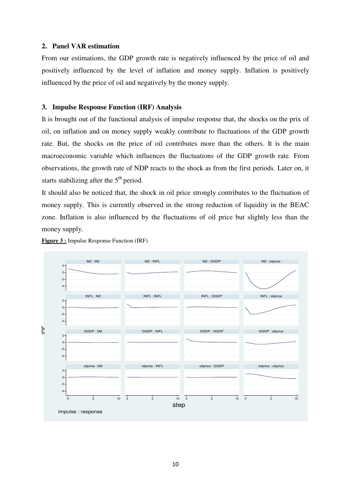#### **2. Panel VAR estimation**

From our estimations, the GDP growth rate is negatively influenced by the price of oil and positively influenced by the level of inflation and money supply. Inflation is positively influenced by the price of oil and negatively by the money supply.

#### **3. Impulse Response Function (IRF) Analysis**

It is brought out of the functional analysis of impulse response that, the shocks on the prix of oil, on inflation and on money supply weakly contribute to fluctuations of the GDP growth rate. But, the shocks on the price of oil contributes more than the others. It is the main macroeconomic variable which influences the fluctuations of the GDP growth rate. From observations, the growth rate of NDP reacts to the shock as from the first periods. Later on, it starts stabilizing after the  $5<sup>th</sup>$  period.

It should also be noticed that, the shock in oil price strongly contributes to the fluctuation of money supply. This is currently observed in the strong reduction of liquidity in the BEAC zone. Inflation is also influenced by the fluctuations of oil price but slightly less than the money supply.



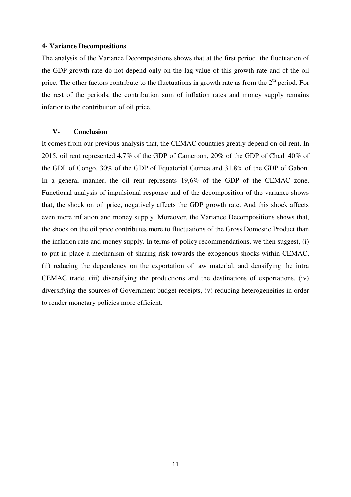#### **4- Variance Decompositions**

The analysis of the Variance Decompositions shows that at the first period, the fluctuation of the GDP growth rate do not depend only on the lag value of this growth rate and of the oil price. The other factors contribute to the fluctuations in growth rate as from the  $2<sup>th</sup>$  period. For the rest of the periods, the contribution sum of inflation rates and money supply remains inferior to the contribution of oil price.

#### **V- Conclusion**

It comes from our previous analysis that, the CEMAC countries greatly depend on oil rent. In 2015, oil rent represented 4,7% of the GDP of Cameroon, 20% of the GDP of Chad, 40% of the GDP of Congo, 30% of the GDP of Equatorial Guinea and 31,8% of the GDP of Gabon. In a general manner, the oil rent represents 19,6% of the GDP of the CEMAC zone. Functional analysis of impulsional response and of the decomposition of the variance shows that, the shock on oil price, negatively affects the GDP growth rate. And this shock affects even more inflation and money supply. Moreover, the Variance Decompositions shows that, the shock on the oil price contributes more to fluctuations of the Gross Domestic Product than the inflation rate and money supply. In terms of policy recommendations, we then suggest, (i) to put in place a mechanism of sharing risk towards the exogenous shocks within CEMAC, (ii) reducing the dependency on the exportation of raw material, and densifying the intra CEMAC trade, (iii) diversifying the productions and the destinations of exportations, (iv) diversifying the sources of Government budget receipts, (v) reducing heterogeneities in order to render monetary policies more efficient.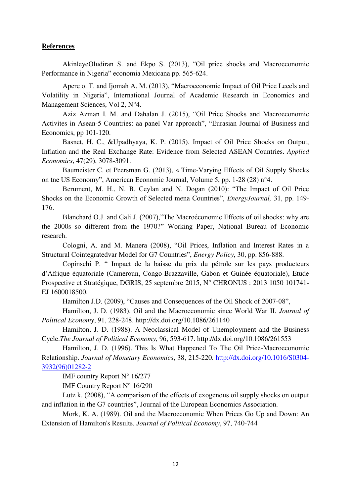#### **References**

AkinleyeOludiran S. and Ekpo S. (2013), "Oil price shocks and Macroeconomic Performance in Nigeria" economia Mexicana pp. 565-624.

Apere o. T. and Ijomah A. M. (2013), "Macroeconomic Impact of Oil Price Lecels and Volatility in Nigeria", International Journal of Academic Research in Economics and Management Sciences, Vol 2, N°4.

Aziz Azman I. M. and Dahalan J. (2015), "Oil Price Shocks and Macroeconomic Activites in Asean-5 Countries: aa panel Var approach", "Eurasian Journal of Business and Economics, pp 101-120.

Basnet, H. C., &Upadhyaya, K. P. (2015). Impact of Oil Price Shocks on Output, Inflation and the Real Exchange Rate: Evidence from Selected ASEAN Countries. *Applied Economics*, 47(29), 3078-3091.

Baumeister C. et Peersman G. (2013), « Time-Varying Effects of Oil Supply Shocks on tne US Economy", American Economic Journal, Volume 5, pp. 1-28 (28) n°4.

Berument, M. H., N. B. Ceylan and N. Dogan (2010): "The Impact of Oil Price Shocks on the Economic Growth of Selected mena Countries", *EnergyJournal,* 31, pp. 149- 176.

Blanchard O.J. and Gali J. (2007),"The Macroéconomic Effects of oil shocks: why are the 2000s so different from the 1970?" Working Paper, National Bureau of Economic research.

Cologni, A. and M. Manera (2008), "Oil Prices, Inflation and Interest Rates in a Structural Cointegratedvar Model for G7 Countries", *Energy Policy*, 30, pp. 856-888.

Copinschi P. " Impact de la baisse du prix du pétrole sur les pays producteurs d'Afrique équatoriale (Cameroun, Congo-Brazzaville, Gabon et Guinée équatoriale), Etude Prospective et Stratégique, DGRIS, 25 septembre 2015, N° CHRONUS : 2013 1050 101741- EJ 1600018500.

Hamilton J.D. (2009), "Causes and Consequences of the Oil Shock of 2007-08",

Hamilton, J. D. (1983). Oil and the Macroeconomic since World War II. *Journal of Political Economy*, 91, 228-248. http://dx.doi.org/10.1086/261140

Hamilton, J. D. (1988). A Neoclassical Model of Unemployment and the Business Cycle.*The Journal of Political Economy*, 96, 593-617. http://dx.doi.org/10.1086/261553

Hamilton, J. D. (1996). This Is What Happened To The Oil Price-Macroeconomic Relationship. *Journal of Monetary Economics*, 38, 215-220. [http://dx.doi.org/10.1016/S0304-](http://dx.doi.org/10.1016/S0304-3932(96)01282-2) [3932\(96\)01282-2](http://dx.doi.org/10.1016/S0304-3932(96)01282-2)

IMF country Report N° 16/277

IMF Country Report N° 16/290

Lutz k. (2008), "A comparison of the effects of exogenous oil supply shocks on output and inflation in the G7 countries", Journal of the European Economics Association.

Mork, K. A. (1989). Oil and the Macroeconomic When Prices Go Up and Down: An Extension of Hamilton's Results. *Journal of Political Economy*, 97, 740-744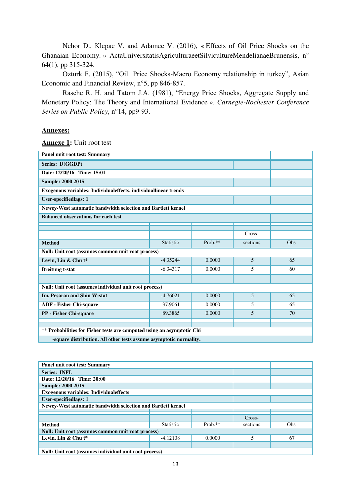Nchor D., Klepac V. and Adamec V. (2016), « Effects of Oil Price Shocks on the Ghanaian Economy. » ActaUniversitatisAgriculturaeetSilvicultureMendelianaeBrunensis, n° 64(1), pp 315-324.

Ozturk F. (2015), "Oil Price Shocks-Macro Economy relationship in turkey", Asian Economic and Financial Review, n°5, pp 846-857.

Rasche R. H. and Tatom J.A. (1981), "Energy Price Shocks, Aggregate Supply and Monetary Policy: The Theory and International Evidence ». *Carnegie-Rochester Conference Series on Public Policy*, n°14, pp9-93.

#### **Annexes:**

**Annexe 1:** Unit root test

| <b>Panel unit root test: Summary</b>                                   |            |            |          |     |  |  |
|------------------------------------------------------------------------|------------|------------|----------|-----|--|--|
| Series: D(GGDP)                                                        |            |            |          |     |  |  |
| Date: 12/20/16 Time: 15:01                                             |            |            |          |     |  |  |
| <b>Sample: 2000 2015</b>                                               |            |            |          |     |  |  |
| Exogenous variables: Individualeffects, individuallinear trends        |            |            |          |     |  |  |
| <b>User-specifiedlags: 1</b>                                           |            |            |          |     |  |  |
| Newey-West automatic bandwidth selection and Bartlett kernel           |            |            |          |     |  |  |
| <b>Balanced observations for each test</b>                             |            |            |          |     |  |  |
|                                                                        |            |            |          |     |  |  |
|                                                                        |            |            | Cross-   |     |  |  |
| <b>Method</b>                                                          | Statistic  | Prob. $**$ | sections | Obs |  |  |
| Null: Unit root (assumes common unit root process)                     |            |            |          |     |  |  |
| Levin, Lin & Chu t*                                                    | $-4.35244$ | 0.0000     | 5        | 65  |  |  |
| <b>Breitung t-stat</b>                                                 | $-6.34317$ | 0.0000     | 5        | 60  |  |  |
|                                                                        |            |            |          |     |  |  |
| Null: Unit root (assumes individual unit root process)                 |            |            |          |     |  |  |
| Im, Pesaran and Shin W-stat                                            | $-4.76021$ | 0.0000     | 5        | 65  |  |  |
| <b>ADF</b> - Fisher Chi-square                                         | 37.9061    | 0.0000     | 5        | 65  |  |  |
| PP - Fisher Chi-square                                                 | 89.3865    | 0.0000     | 5        | 70  |  |  |
|                                                                        |            |            |          |     |  |  |
| ** Probabilities for Fisher tests are computed using an asymptotic Chi |            |            |          |     |  |  |
| -square distribution. All other tests assume asymptotic normality.     |            |            |          |     |  |  |

| <b>Panel unit root test: Summary</b>                         |          |            |        |  |  |  |
|--------------------------------------------------------------|----------|------------|--------|--|--|--|
| Series: INFL                                                 |          |            |        |  |  |  |
| Date: 12/20/16 Time: 20:00                                   |          |            |        |  |  |  |
| Sample: 2000 2015                                            |          |            |        |  |  |  |
| <b>Exogenous variables: Individual effects</b>               |          |            |        |  |  |  |
| User-specifiedlags: 1                                        |          |            |        |  |  |  |
| Newey-West automatic bandwidth selection and Bartlett kernel |          |            |        |  |  |  |
|                                                              |          |            |        |  |  |  |
|                                                              |          |            | Cross- |  |  |  |
| <b>Method</b>                                                | sections | <b>Obs</b> |        |  |  |  |
| Null: Unit root (assumes common unit root process)           |          |            |        |  |  |  |
| Levin, Lin & Chu t*                                          | 5        | 67         |        |  |  |  |
|                                                              |          |            |        |  |  |  |
| Null: Unit root (assumes individual unit root process)       |          |            |        |  |  |  |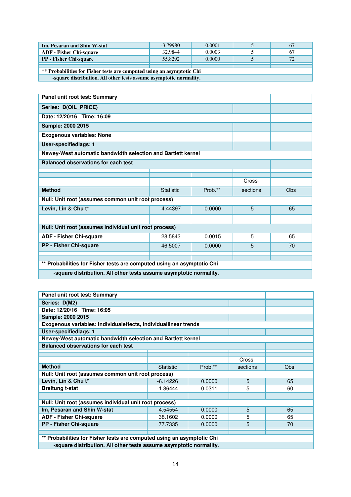| Im, Pesaran and Shin W-stat                                            | $-3.79980$ | 0.0001 |  | 67  |  |  |  |
|------------------------------------------------------------------------|------------|--------|--|-----|--|--|--|
| <b>ADF</b> - Fisher Chi-square                                         | 32.9844    | 0.0003 |  | 67  |  |  |  |
| <b>PP</b> - Fisher Chi-square                                          | 55.8292    | 0.0000 |  | 72. |  |  |  |
|                                                                        |            |        |  |     |  |  |  |
| ** Probabilities for Fisher tests are computed using an asymptotic Chi |            |        |  |     |  |  |  |
| -square distribution. All other tests assume asymptotic normality.     |            |        |  |     |  |  |  |

| Panel unit root test: Summary                                          |                                                                    |         |          |     |  |  |
|------------------------------------------------------------------------|--------------------------------------------------------------------|---------|----------|-----|--|--|
| Series: D(OIL_PRICE)                                                   |                                                                    |         |          |     |  |  |
| Date: 12/20/16 Time: 16:09                                             |                                                                    |         |          |     |  |  |
| Sample: 2000 2015                                                      |                                                                    |         |          |     |  |  |
| <b>Exogenous variables: None</b>                                       |                                                                    |         |          |     |  |  |
| <b>User-specifiedlags: 1</b>                                           |                                                                    |         |          |     |  |  |
| Newey-West automatic bandwidth selection and Bartlett kernel           |                                                                    |         |          |     |  |  |
| <b>Balanced observations for each test</b>                             |                                                                    |         |          |     |  |  |
|                                                                        |                                                                    |         |          |     |  |  |
|                                                                        |                                                                    |         | Cross-   |     |  |  |
| <b>Method</b>                                                          | <b>Statistic</b>                                                   | Prob.** | sections | Obs |  |  |
| Null: Unit root (assumes common unit root process)                     |                                                                    |         |          |     |  |  |
| Levin, Lin & Chu t*                                                    | 0.0000<br>5<br>$-4.44397$                                          |         |          |     |  |  |
|                                                                        |                                                                    |         |          |     |  |  |
| Null: Unit root (assumes individual unit root process)                 |                                                                    |         |          |     |  |  |
| <b>ADF - Fisher Chi-square</b>                                         | 28.5843                                                            | 0.0015  | 5        | 65  |  |  |
| <b>PP - Fisher Chi-square</b>                                          | 46.5007                                                            | 0.0000  | 5        | 70  |  |  |
|                                                                        |                                                                    |         |          |     |  |  |
| ** Probabilities for Fisher tests are computed using an asymptotic Chi |                                                                    |         |          |     |  |  |
|                                                                        |                                                                    |         |          |     |  |  |
|                                                                        | -square distribution. All other tests assume asymptotic normality. |         |          |     |  |  |

| Panel unit root test: Summary                                          |                                                                    |        |   |    |  |  |  |  |
|------------------------------------------------------------------------|--------------------------------------------------------------------|--------|---|----|--|--|--|--|
| Series: D(M2)                                                          |                                                                    |        |   |    |  |  |  |  |
| Date: 12/20/16 Time: 16:05                                             |                                                                    |        |   |    |  |  |  |  |
| Sample: 2000 2015                                                      |                                                                    |        |   |    |  |  |  |  |
| Exogenous variables: Individualeffects, individuallinear trends        |                                                                    |        |   |    |  |  |  |  |
| <b>User-specifiedlags: 1</b>                                           |                                                                    |        |   |    |  |  |  |  |
| Newey-West automatic bandwidth selection and Bartlett kernel           |                                                                    |        |   |    |  |  |  |  |
| <b>Balanced observations for each test</b>                             |                                                                    |        |   |    |  |  |  |  |
|                                                                        |                                                                    |        |   |    |  |  |  |  |
|                                                                        | Cross-                                                             |        |   |    |  |  |  |  |
| <b>Method</b>                                                          | <b>Obs</b>                                                         |        |   |    |  |  |  |  |
| Null: Unit root (assumes common unit root process)                     |                                                                    |        |   |    |  |  |  |  |
| Levin, Lin & Chu t*                                                    | $-6.14226$                                                         | 0.0000 | 5 | 65 |  |  |  |  |
| <b>Breitung t-stat</b>                                                 | $-1.86444$                                                         | 0.0311 | 5 | 60 |  |  |  |  |
|                                                                        |                                                                    |        |   |    |  |  |  |  |
| Null: Unit root (assumes individual unit root process)                 |                                                                    |        |   |    |  |  |  |  |
| Im, Pesaran and Shin W-stat                                            | $-4.54554$                                                         | 0.0000 | 5 | 65 |  |  |  |  |
| <b>ADF - Fisher Chi-square</b>                                         | 38.1602                                                            | 0.0000 | 5 | 65 |  |  |  |  |
| PP - Fisher Chi-square                                                 | 77.7335                                                            | 0.0000 | 5 | 70 |  |  |  |  |
|                                                                        |                                                                    |        |   |    |  |  |  |  |
| ** Probabilities for Fisher tests are computed using an asymptotic Chi |                                                                    |        |   |    |  |  |  |  |
|                                                                        |                                                                    |        |   |    |  |  |  |  |
|                                                                        | -square distribution. All other tests assume asymptotic normality. |        |   |    |  |  |  |  |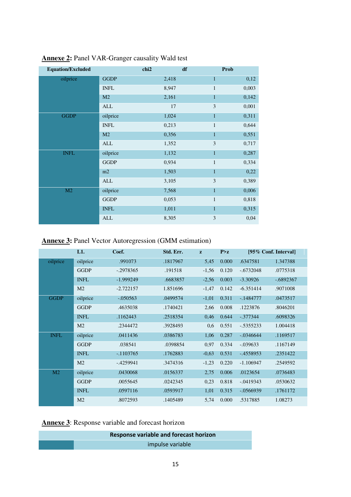| <b>Equation/Excluded</b> |                | chi <sub>2</sub> | df             | Prob  |
|--------------------------|----------------|------------------|----------------|-------|
| oilprice                 | <b>GGDP</b>    | 2,418            | $\mathbf{1}$   | 0,12  |
|                          | <b>INFL</b>    | 8,947            | $\mathbf{1}$   | 0,003 |
|                          | M <sub>2</sub> | 2,161            | $\mathbf{1}$   | 0,142 |
|                          | <b>ALL</b>     | 17               | $\mathfrak{Z}$ | 0,001 |
| <b>GGDP</b>              | oilprice       | 1,024            | $\mathbf{1}$   | 0,311 |
|                          | <b>INFL</b>    | 0,213            | $\mathbf{1}$   | 0,644 |
|                          | M2             | 0,356            | $\mathbf{1}$   | 0,551 |
|                          | ALL            | 1,352            | 3              | 0,717 |
| <b>INFL</b>              | oilprice       | 1,132            | $\mathbf{1}$   | 0,287 |
|                          | <b>GGDP</b>    | 0,934            | $\mathbf{1}$   | 0,334 |
|                          | m2             | 1,503            | $\mathbf{1}$   | 0,22  |
|                          | ALL            | 3,105            | $\mathfrak{Z}$ | 0,389 |
| M2                       | oilprice       | 7,568            | $\mathbf{1}$   | 0,006 |
|                          | <b>GGDP</b>    | 0,053            | $\mathbf{1}$   | 0,818 |
|                          | <b>INFL</b>    | 1,011            | $\mathbf{1}$   | 0,315 |
|                          | ALL            | 8,305            | $\mathfrak{Z}$ | 0,04  |

## **Annexe 2:** Panel VAR-Granger causality Wald test

## **Annexe 3:** Panel Vector Autoregression (GMM estimation)

|                | L1.            | Coef.       | Std. Err. | z       | P > z |             | [95% Conf. Interval] |
|----------------|----------------|-------------|-----------|---------|-------|-------------|----------------------|
| oilprice       | oilprice       | .991073     | .1817967  | 5,45    | 0.000 | .6347581    | 1.347388             |
|                | <b>GGDP</b>    | $-.2978365$ | .191518   | $-1,56$ | 0.120 | $-.6732048$ | .0775318             |
|                | <b>INFL</b>    | $-1.999249$ | .6683857  | $-2,56$ | 0.003 | $-3.30926$  | $-.6892367$          |
|                | M <sub>2</sub> | $-2.722157$ | 1.851696  | $-1,47$ | 0.142 | $-6.351414$ | .9071008             |
| <b>GGDP</b>    | oilprice       | $-.050563$  | .0499574  | $-1,01$ | 0.311 | $-1484777$  | .0473517             |
|                | <b>GGDP</b>    | .4635038    | .1740421  | 2,66    | 0.008 | .1223876    | .8046201             |
|                | <b>INFL</b>    | .1162443    | .2518354  | 0,46    | 0.644 | $-.377344$  | .6098326             |
|                | M <sub>2</sub> | .2344472    | .3928493  | 0,6     | 0.551 | $-.5355233$ | 1.004418             |
| <b>INFL</b>    | oilprice       | .0411436    | .0386783  | 1,06    | 0.287 | $-.0346644$ | .1169517             |
|                | <b>GGDP</b>    | .038541     | .0398854  | 0,97    | 0.334 | $-.039633$  | .1167149             |
|                | <b>INFL</b>    | $-1103765$  | .1762883  | $-0,63$ | 0.531 | $-4558953$  | .2351422             |
|                | M <sub>2</sub> | $-4259941$  | .3474316  | $-1,23$ | 0.220 | $-1.106947$ | .2549592             |
| M <sub>2</sub> | oilprice       | .0430068    | .0156337  | 2,75    | 0.006 | .0123654    | .0736483             |
|                | <b>GGDP</b>    | .0055645    | .0242345  | 0,23    | 0.818 | $-.0419343$ | .0530632             |
|                | <b>INFL</b>    | .0597116    | .0593917  | 1,01    | 0.315 | $-.0566939$ | .1761172             |
|                | M <sub>2</sub> | .8072593    | .1405489  | 5,74    | 0.000 | .5317885    | 1.08273              |

## **Annexe 3**: Response variable and forecast horizon

| <b>Response variable and forecast horizon</b> |
|-----------------------------------------------|
| impulse variable                              |
|                                               |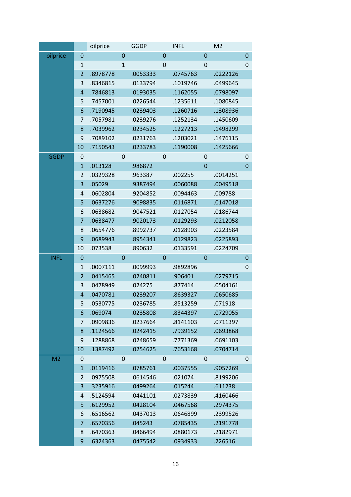|                |                  | oilprice |             | <b>GGDP</b> |             | <b>INFL</b> |                  | M <sub>2</sub> |                  |
|----------------|------------------|----------|-------------|-------------|-------------|-------------|------------------|----------------|------------------|
| oilprice       | $\mathbf 0$      |          | $\mathbf 0$ |             | $\mathbf 0$ |             | $\boldsymbol{0}$ |                | $\mathbf 0$      |
|                | $\mathbf{1}$     |          | $\mathbf 1$ |             | $\mathbf 0$ |             | 0                |                | $\mathbf 0$      |
|                | $\overline{2}$   | .8978778 |             | .0053333    |             | .0745763    |                  | .0222126       |                  |
|                | 3                | .8346815 |             | .0133794    |             | .1019746    |                  | .0499645       |                  |
|                | $\overline{a}$   | .7846813 |             | .0193035    |             | .1162055    |                  | .0798097       |                  |
|                | 5                | .7457001 |             | .0226544    |             | .1235611    |                  | .1080845       |                  |
|                | 6                | .7190945 |             | .0239403    |             | .1260716    |                  | .1308936       |                  |
|                | 7                | .7057981 |             | .0239276    |             | .1252134    |                  | .1450609       |                  |
|                | 8                | .7039962 |             | .0234525    |             | .1227213    |                  | .1498299       |                  |
|                | 9                | .7089102 |             | .0231763    |             | .1203021    |                  | .1476115       |                  |
|                | 10               | .7150543 |             | .0233783    |             | .1190008    |                  | .1425666       |                  |
| <b>GGDP</b>    | 0                |          | 0           |             | 0           |             | 0                |                | $\mathbf 0$      |
|                | $\mathbf{1}$     | .013128  |             | .986872     |             |             | $\mathbf 0$      |                | $\mathbf 0$      |
|                | $\overline{2}$   | .0329328 |             | .963387     |             | .002255     |                  | .0014251       |                  |
|                | 3                | .05029   |             | .9387494    |             | .0060088    |                  | .0049518       |                  |
|                | 4                | .0602804 |             | .9204852    |             | .0094463    |                  | .009788        |                  |
|                | 5                | .0637276 |             | .9098835    |             | .0116871    |                  | .0147018       |                  |
|                | 6                | .0638682 |             | .9047521    |             | .0127054    |                  | .0186744       |                  |
|                | 7                | .0638477 |             | .9020173    |             | .0129293    |                  | .0212058       |                  |
|                | 8                | .0654776 |             | .8992737    |             | .0128903    |                  | .0223584       |                  |
|                | $\boldsymbol{9}$ | .0689943 |             | .8954341    |             | .0129823    |                  | .0225893       |                  |
|                | 10               | .073538  |             | .890632     |             | .0133591    |                  | .0224709       |                  |
| <b>INFL</b>    | $\boldsymbol{0}$ |          | $\mathbf 0$ |             | $\mathbf 0$ |             | $\mathbf 0$      |                | $\mathbf 0$      |
|                | $\mathbf{1}$     | .0007111 |             | .0099993    |             | .9892896    |                  |                | $\mathbf 0$      |
|                | $\overline{2}$   | .0415465 |             | .0240811    |             | .906401     |                  | .0279715       |                  |
|                | 3                | .0478949 |             | .024275     |             | .877414     |                  | .0504161       |                  |
|                | $\overline{a}$   | .0470781 |             | .0239207    |             | .8639327    |                  | .0650685       |                  |
|                | 5                | .0530775 |             | .0236785    |             | .8513259    |                  | .071918        |                  |
|                | 6                | .069074  |             | .0235808    |             | .8344397    |                  | .0729055       |                  |
|                | 7                | .0909836 |             | .0237664    |             | .8141103    |                  | .0711397       |                  |
|                | 8                | .1124566 |             | .0242415    |             | .7939152    |                  | .0693868       |                  |
|                | 9                | .1288868 |             | .0248659    |             | .7771369    |                  | .0691103       |                  |
|                | 10               | .1387492 |             | .0254625    |             | .7653168    |                  | .0704714       |                  |
| M <sub>2</sub> | 0                |          | $\mathbf 0$ |             | 0           |             | 0                |                | $\boldsymbol{0}$ |
|                | $\mathbf{1}$     | .0119416 |             | .0785761    |             | .0037555    |                  | .9057269       |                  |
|                | $\overline{2}$   | .0975508 |             | .0614546    |             | .021074     |                  | .8199206       |                  |
|                | 3                | .3235916 |             | .0499264    |             | .015244     |                  | .611238        |                  |
|                | 4                | .5124594 |             | .0441101    |             | .0273839    |                  | .4160466       |                  |
|                | 5                | .6129952 |             | .0428104    |             | .0467568    |                  | .2974375       |                  |
|                | 6                | .6516562 |             | .0437013    |             | .0646899    |                  | .2399526       |                  |
|                | 7                | .6570356 |             | .045243     |             | .0785435    |                  | .2191778       |                  |
|                |                  |          |             |             |             |             |                  |                |                  |
|                | 8                | .6470363 |             | .0466494    |             | .0880173    |                  | .2182971       |                  |